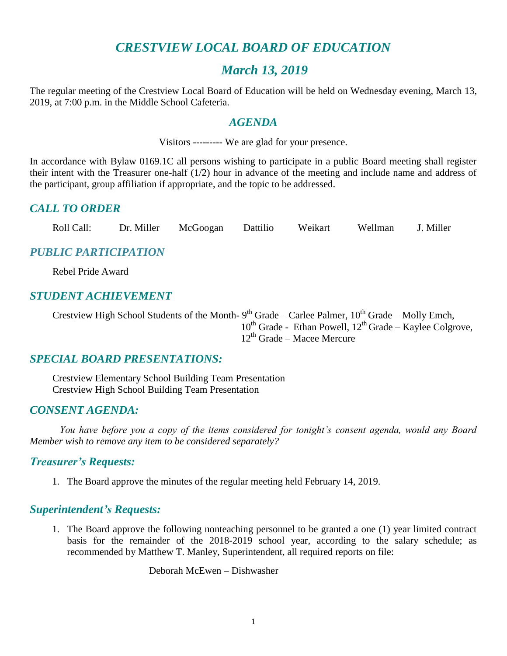# *CRESTVIEW LOCAL BOARD OF EDUCATION*

# *March 13, 2019*

The regular meeting of the Crestview Local Board of Education will be held on Wednesday evening, March 13, 2019, at 7:00 p.m. in the Middle School Cafeteria.

#### *AGENDA*

Visitors --------- We are glad for your presence.

In accordance with Bylaw 0169.1C all persons wishing to participate in a public Board meeting shall register their intent with the Treasurer one-half (1/2) hour in advance of the meeting and include name and address of the participant, group affiliation if appropriate, and the topic to be addressed.

## *CALL TO ORDER*

Roll Call: Dr. Miller McGoogan Dattilio Weikart Wellman J. Miller

# *PUBLIC PARTICIPATION*

Rebel Pride Award

#### *STUDENT ACHIEVEMENT*

Crestview High School Students of the Month-  $9<sup>th</sup>$  Grade – Carlee Palmer,  $10<sup>th</sup>$  Grade – Molly Emch, 10<sup>th</sup> Grade - Ethan Powell, 12<sup>th</sup> Grade - Kaylee Colgrove,  $12^{th}$  Grade – Macee Mercure

# *SPECIAL BOARD PRESENTATIONS:*

Crestview Elementary School Building Team Presentation Crestview High School Building Team Presentation

#### *CONSENT AGENDA:*

*You have before you a copy of the items considered for tonight's consent agenda, would any Board Member wish to remove any item to be considered separately?*

#### *Treasurer's Requests:*

1. The Board approve the minutes of the regular meeting held February 14, 2019.

#### *Superintendent's Requests:*

1. The Board approve the following nonteaching personnel to be granted a one (1) year limited contract basis for the remainder of the 2018-2019 school year, according to the salary schedule; as recommended by Matthew T. Manley, Superintendent, all required reports on file:

Deborah McEwen – Dishwasher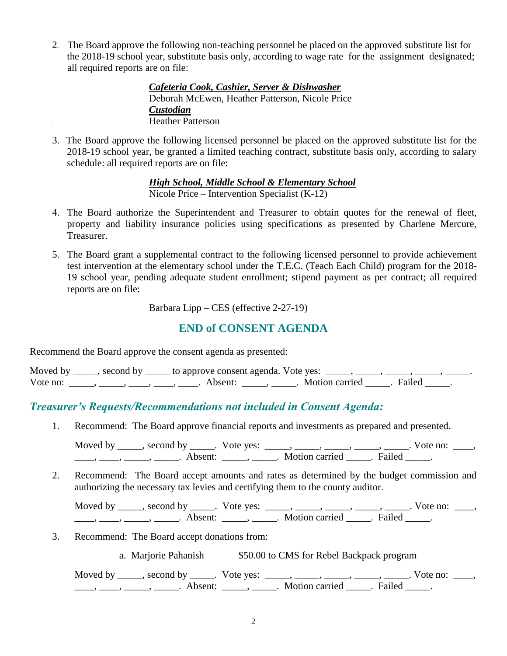2. The Board approve the following non-teaching personnel be placed on the approved substitute list for the 2018-19 school year, substitute basis only, according to wage rate for the assignment designated; all required reports are on file:

> *Cafeteria Cook, Cashier, Server & Dishwasher* Deborah McEwen, Heather Patterson, Nicole Price *Custodian* Heather Patterson

3. The Board approve the following licensed personnel be placed on the approved substitute list for the 2018-19 school year, be granted a limited teaching contract, substitute basis only, according to salary schedule: all required reports are on file:

> *High School, Middle School & Elementary School* Nicole Price – Intervention Specialist (K-12)

- 4. The Board authorize the Superintendent and Treasurer to obtain quotes for the renewal of fleet, property and liability insurance policies using specifications as presented by Charlene Mercure, Treasurer.
- 5. The Board grant a supplemental contract to the following licensed personnel to provide achievement test intervention at the elementary school under the T.E.C. (Teach Each Child) program for the 2018- 19 school year, pending adequate student enrollment; stipend payment as per contract; all required reports are on file:

Barbara Lipp – CES (effective 2-27-19)

# **END of CONSENT AGENDA**

Recommend the Board approve the consent agenda as presented:

| Moved by | second by | to approve consent agenda. Vote yes: |                |        |  |
|----------|-----------|--------------------------------------|----------------|--------|--|
| Vote no: |           | Absent <sup>.</sup>                  | Motion carried | Failed |  |

# *Treasurer's Requests/Recommendations not included in Consent Agenda:*

1. Recommend: The Board approve financial reports and investments as prepared and presented.

Moved by \_\_\_\_\_, second by \_\_\_\_\_. Vote yes: \_\_\_\_\_, \_\_\_\_\_, \_\_\_\_\_, \_\_\_\_\_, \_\_\_\_\_. Vote no: \_\_\_\_, \_\_\_\_\_, \_\_\_\_\_\_, \_\_\_\_\_\_\_. Absent: \_\_\_\_\_\_, \_\_\_\_\_\_. Motion carried \_\_\_\_\_\_. Failed \_\_\_\_\_.

2. Recommend: The Board accept amounts and rates as determined by the budget commission and authorizing the necessary tax levies and certifying them to the county auditor.

Moved by \_\_\_\_\_, second by \_\_\_\_\_. Vote yes:  $\_\_\_\_\_\_\_\_\_\_\_\_\_\_\_\_\_\_\_$  \_\_\_\_, \_\_\_\_, \_\_\_\_. Vote no:  $\_\_\_\_\_\$ \_\_\_\_, \_\_\_\_\_, \_\_\_\_\_\_, Absent: \_\_\_\_\_, \_\_\_\_\_. Motion carried \_\_\_\_\_. Failed \_\_\_\_\_.

3. Recommend: The Board accept donations from:

a. Marjorie Pahanish \$50.00 to CMS for Rebel Backpack program

Moved by \_\_\_\_\_, second by \_\_\_\_\_. Vote yes: \_\_\_\_\_, \_\_\_\_\_, \_\_\_\_\_, \_\_\_\_\_, \_\_\_\_\_. Vote no: \_\_\_\_,  $\frac{1}{\sqrt{2\pi}}$ ,  $\frac{1}{\sqrt{2\pi}}$ ,  $\frac{1}{\sqrt{2\pi}}$ ,  $\frac{1}{\sqrt{2\pi}}$ ,  $\frac{1}{\sqrt{2\pi}}$ ,  $\frac{1}{\sqrt{2\pi}}$ ,  $\frac{1}{\sqrt{2\pi}}$ ,  $\frac{1}{\sqrt{2\pi}}$ ,  $\frac{1}{\sqrt{2\pi}}$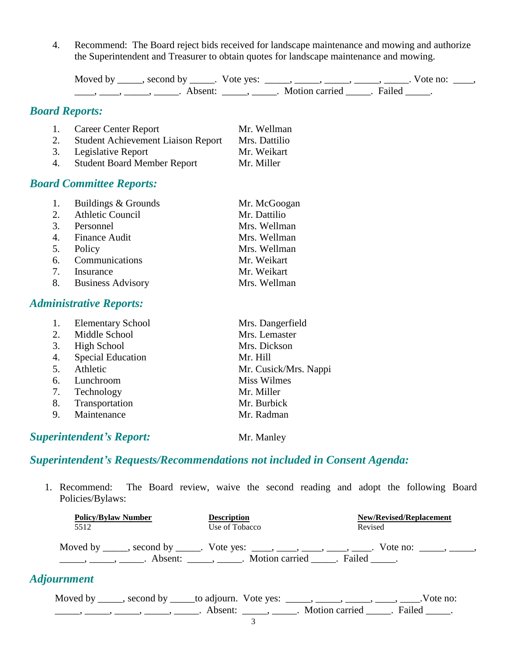4. Recommend: The Board reject bids received for landscape maintenance and mowing and authorize the Superintendent and Treasurer to obtain quotes for landscape maintenance and mowing.

```
Moved by _____, second by _____. Vote yes: \_\_\_\_\_\_\_\_\_\_\_\_\_\_\_ _____, _____, _____. Vote no: \_\_\_\_\_\_____, ______, _______. Absent: ______, ______. Motion carried ______. Failed _____.
```
# *Board Reports:*

| 1. | <b>Career Center Report</b>               | Mr. Wellman   |
|----|-------------------------------------------|---------------|
| 2. | <b>Student Achievement Liaison Report</b> | Mrs. Dattilio |
| 3. | Legislative Report                        | Mr. Weikart   |
| 4. | <b>Student Board Member Report</b>        | Mr. Miller    |

#### *Board Committee Reports:*

| 1.             | Buildings & Grounds  | Mr. McGoogan |
|----------------|----------------------|--------------|
|                | 2. Athletic Council  | Mr. Dattilio |
| 3.             | Personnel            | Mrs. Wellman |
|                | 4. Finance Audit     | Mrs. Wellman |
|                | 5. Policy            | Mrs. Wellman |
|                | 6. Communications    | Mr. Weikart  |
| 7 <sup>7</sup> | Insurance            | Mr. Weikart  |
|                | 8. Business Advisory | Mrs. Wellman |

## *Administrative Reports:*

|    | <b>Elementary School</b> | Mrs. Dangerfield      |
|----|--------------------------|-----------------------|
| 2. | Middle School            | Mrs. Lemaster         |
| 3. | <b>High School</b>       | Mrs. Dickson          |
| 4. | <b>Special Education</b> | Mr. Hill              |
| 5. | Athletic                 | Mr. Cusick/Mrs. Nappi |
| 6. | Lunchroom                | <b>Miss Wilmes</b>    |
| 7. | Technology               | Mr. Miller            |
| 8. | Transportation           | Mr. Burbick           |
| 9. | Maintenance              | Mr. Radman            |
|    |                          |                       |

# **Superintendent's Report:** Mr. Manley

# *Superintendent's Requests/Recommendations not included in Consent Agenda:*

1. Recommend: The Board review, waive the second reading and adopt the following Board Policies/Bylaws:

| <b>Policy/Bylaw Number</b>                                                                                                                                                                                                                                                                                                      | <b>Description</b> | <b>New/Revised/Replacement</b>                                                                  |
|---------------------------------------------------------------------------------------------------------------------------------------------------------------------------------------------------------------------------------------------------------------------------------------------------------------------------------|--------------------|-------------------------------------------------------------------------------------------------|
| 5512                                                                                                                                                                                                                                                                                                                            | Use of Tobacco     | Revised                                                                                         |
| $\frac{1}{1}$ , $\frac{1}{1}$ , $\frac{1}{1}$ , $\frac{1}{1}$ , $\frac{1}{1}$ , $\frac{1}{1}$ , $\frac{1}{1}$ , $\frac{1}{1}$ , $\frac{1}{1}$ , $\frac{1}{1}$ , $\frac{1}{1}$ , $\frac{1}{1}$ , $\frac{1}{1}$ , $\frac{1}{1}$ , $\frac{1}{1}$ , $\frac{1}{1}$ , $\frac{1}{1}$ , $\frac{1}{1}$ , $\frac{1}{1}$ , $\frac{1}{1}$ , |                    | Moved by _____, second by _____. Vote yes: ____, ____, ____, ____, ____. Vote no: _____, _____, |
| <i><b>Adjournment</b></i>                                                                                                                                                                                                                                                                                                       |                    |                                                                                                 |
|                                                                                                                                                                                                                                                                                                                                 |                    | Moved by _____, second by _____to adjourn. Vote yes: _____, _____, _____, ____, ____.Vote no:   |
|                                                                                                                                                                                                                                                                                                                                 |                    |                                                                                                 |